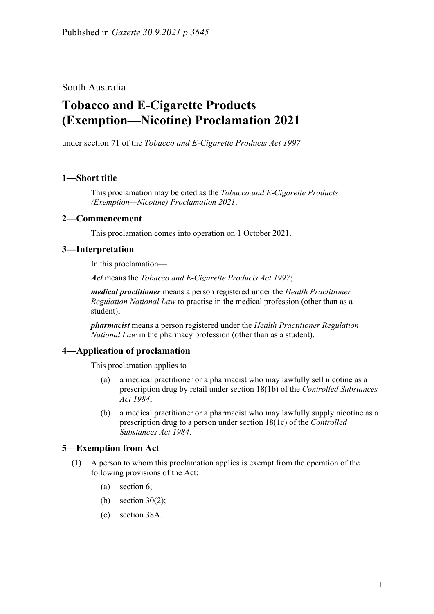South Australia

# **Tobacco and E-Cigarette Products (Exemption—Nicotine) Proclamation 2021**

under section 71 of the *Tobacco and E-Cigarette Products Act 1997*

## **1—Short title**

This proclamation may be cited as the *Tobacco and E-Cigarette Products (Exemption—Nicotine) Proclamation 2021*.

### **2—Commencement**

This proclamation comes into operation on 1 October 2021.

### **3—Interpretation**

In this proclamation—

*Act* means the *[Tobacco and E-Cigarette Products Act](http://www.legislation.sa.gov.au/index.aspx?action=legref&type=act&legtitle=Tobacco%20and%20E-Cigarette%20Products%20Act%201997) 1997*;

*medical practitioner* means a person registered under the *[Health Practitioner](http://www.legislation.sa.gov.au/index.aspx?action=legref&type=act&legtitle=Health%20Practitioner%20Regulation%20National%20Law)  [Regulation National Law](http://www.legislation.sa.gov.au/index.aspx?action=legref&type=act&legtitle=Health%20Practitioner%20Regulation%20National%20Law)* to practise in the medical profession (other than as a student);

*pharmacist* means a person registered under the *[Health Practitioner Regulation](http://www.legislation.sa.gov.au/index.aspx?action=legref&type=act&legtitle=Health%20Practitioner%20Regulation%20National%20Law)  [National Law](http://www.legislation.sa.gov.au/index.aspx?action=legref&type=act&legtitle=Health%20Practitioner%20Regulation%20National%20Law)* in the pharmacy profession (other than as a student).

### **4—Application of proclamation**

This proclamation applies to—

- (a) a medical practitioner or a pharmacist who may lawfully sell nicotine as a prescription drug by retail under section 18(1b) of the *[Controlled Substances](http://www.legislation.sa.gov.au/index.aspx?action=legref&type=act&legtitle=Controlled%20Substances%20Act%201984)  Act [1984](http://www.legislation.sa.gov.au/index.aspx?action=legref&type=act&legtitle=Controlled%20Substances%20Act%201984)*;
- (b) a medical practitioner or a pharmacist who may lawfully supply nicotine as a prescription drug to a person under section 18(1c) of the *[Controlled](http://www.legislation.sa.gov.au/index.aspx?action=legref&type=act&legtitle=Controlled%20Substances%20Act%201984)  [Substances Act](http://www.legislation.sa.gov.au/index.aspx?action=legref&type=act&legtitle=Controlled%20Substances%20Act%201984) 1984*.

### **5—Exemption from Act**

- (1) A person to whom this proclamation applies is exempt from the operation of the following provisions of the Act:
	- (a) section 6;
	- (b) section 30(2);
	- (c) section 38A.